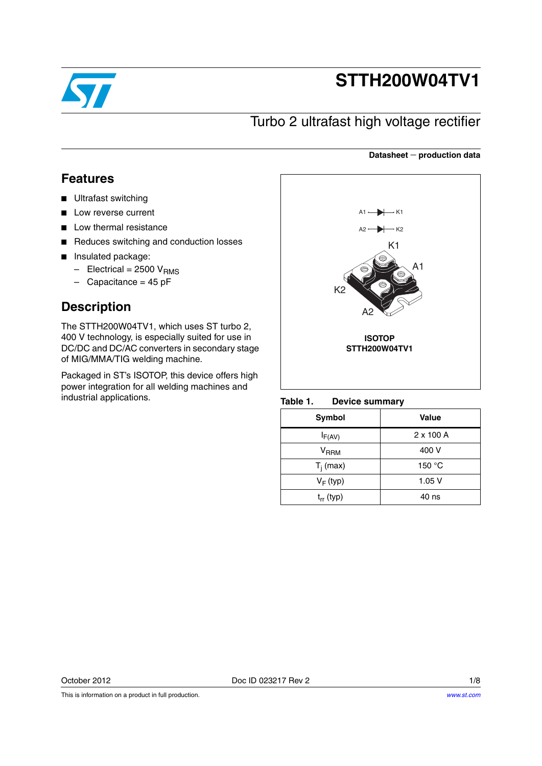

# **STTH200W04TV1**

## Turbo 2 ultrafast high voltage rectifier

### **Datasheet production data**

## **Features**

- Ultrafast switching
- Low reverse current
- Low thermal resistance
- Reduces switching and conduction losses
- Insulated package:
	- $-$  Electrical = 2500 V<sub>RMS</sub>
	- $-$  Capacitance = 45 pF

## **Description**

The STTH200W04TV1, which uses ST turbo 2, 400 V technology, is especially suited for use in DC/DC and DC/AC converters in secondary stage of MIG/MMA/TIG welding machine.

Packaged in ST's ISOTOP, this device offers high power integration for all welding machines and industrial applications.



<span id="page-0-0"></span>**Device summary** 

| <b>Symbol</b>             | Value            |
|---------------------------|------------------|
| $I_{F(AV)}$               | $2 \times 100$ A |
| $\mathsf{V}_\mathsf{RRM}$ | 400 V            |
| $T_i$ (max)               | 150 $\degree$ C  |
| $V_F$ (typ)               | 1.05V            |
| $t_{rr}$ (typ)            | 40 ns            |

October 2012 Doc ID 023217 Rev 2 1/8

This is information on a product in full production.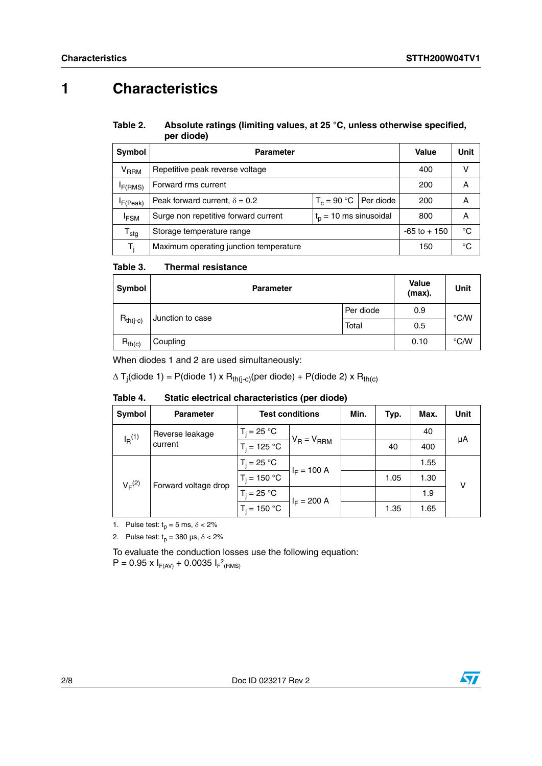# **1 Characteristics**

#### Table 2. Absolute ratings (limiting values, at 25 °C, unless otherwise specified, **per diode)**

| Symbol                    | <b>Parameter</b>                              | <b>Value</b> | Unit |  |    |
|---------------------------|-----------------------------------------------|--------------|------|--|----|
| <b>V<sub>RRM</sub></b>    | Repetitive peak reverse voltage               | 400          | v    |  |    |
| I <sub>F</sub> (RMS)      | Forward rms current                           | 200          | А    |  |    |
| IF(Peak)                  | Peak forward current, $\delta = 0.2$          | 200          | А    |  |    |
| <b>IFSM</b>               | Surge non repetitive forward current          | 800          | А    |  |    |
| $\mathsf{T}_{\text{stg}}$ | $-65$ to $+150$<br>Storage temperature range  |              |      |  | °C |
| T,                        | Maximum operating junction temperature<br>150 |              |      |  | °C |

#### Table 3. **Thermal resistance**

| Symbol        | <b>Parameter</b> | <b>Value</b><br>(max). | Unit |               |
|---------------|------------------|------------------------|------|---------------|
| $R_{th(j-c)}$ |                  | Per diode              | 0.9  | $\degree$ C/W |
|               | Junction to case | 0.5                    |      |               |
| $R_{th(c)}$   | Coupling         |                        | 0.10 | $\degree$ C/W |

When diodes 1 and 2 are used simultaneously:

 $\Delta$  T<sub>j</sub>(diode 1) = P(diode 1) x R<sub>th(j-c)</sub>(per diode) + P(diode 2) x R<sub>th(c)</sub>

| Table 4. | Static electrical characteristics (per diode) |  |  |
|----------|-----------------------------------------------|--|--|
|----------|-----------------------------------------------|--|--|

| Symbol                                             | <b>Parameter</b>     | <b>Test conditions</b> |               | Min. | Typ. | Max. | Unit |
|----------------------------------------------------|----------------------|------------------------|---------------|------|------|------|------|
| Reverse leakage<br>$I_R$ <sup>(1)</sup><br>current |                      | $T_i = 25 °C$          |               |      |      | 40   | μA   |
|                                                    | $T_i = 125 °C$       | $V_R = V_{RRM}$        |               | 40   | 400  |      |      |
| $V_F^{(2)}$                                        | Forward voltage drop | $T_i = 25 °C$          | $I_F = 100 A$ |      |      | 1.55 |      |
|                                                    |                      | $T_i = 150 °C$         |               |      | 1.05 | 1.30 | v    |
|                                                    |                      | $T_i = 25 °C$          | $I_F = 200 A$ |      |      | 1.9  |      |
|                                                    |                      | $T_i = 150 °C$         |               |      | 1.35 | 1.65 |      |

1. Pulse test:  $t_p = 5$  ms,  $\delta < 2\%$ 

2. Pulse test:  $t_p = 380 \text{ }\mu\text{s}, \delta < 2\%$ 

To evaluate the conduction losses use the following equation:  $P = 0.95 \times I_{F(AV)} + 0.0035 I_{F}^2_{(RMS)}$ 

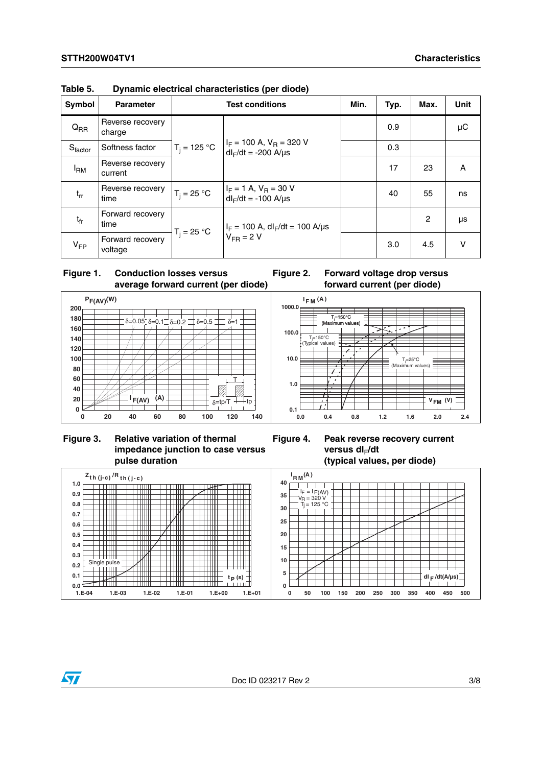| Symbol          | <b>Parameter</b>            | <b>Test conditions</b> |                                                                                                       | Min. | Typ. | Max.           | Unit   |
|-----------------|-----------------------------|------------------------|-------------------------------------------------------------------------------------------------------|------|------|----------------|--------|
| $Q_{RR}$        | Reverse recovery<br>charge  |                        |                                                                                                       |      | 0.9  |                | μC     |
| $S_{factor}$    | Softness factor             |                        | $T_j = 125 °C$ $ I_F = 100 A, V_R = 320 V$<br>$dI_F/dt = -200 A/\mu s$                                |      | 0.3  |                |        |
| <sup>I</sup> RM | Reverse recovery<br>current |                        |                                                                                                       |      | 17   | 23             | A      |
| $t_{rr}$        | Reverse recovery<br>time    | $T_i = 25 °C$          | $I_F = 1$ A, $V_R = 30$ V<br>$dl_F/dt = -100$ A/ $\mu s$                                              |      | 40   | 55             | ns     |
| $t_{fr}$        | Forward recovery<br>time    | $T_i = 25 °C$          | $ I_F = 100 \text{ A}, \text{ dl}_F/\text{dt} = 100 \text{ A/}\text{\mu s}$<br>$V_{FR} = 2 \text{ V}$ |      |      | $\overline{c}$ | μs     |
| $V_{FP}$        | Forward recovery<br>voltage |                        |                                                                                                       |      | 3.0  | 4.5            | $\vee$ |

<span id="page-2-0"></span>**Table 5. Dynamic electrical characteristics (per diode)**







**Figure 3. Relative variation of thermal impedance junction to case versus pulse duration**

**Figure 4. Peak reverse recovery current**  versus dl<sub>F</sub>/dt **(typical values, per diode)**



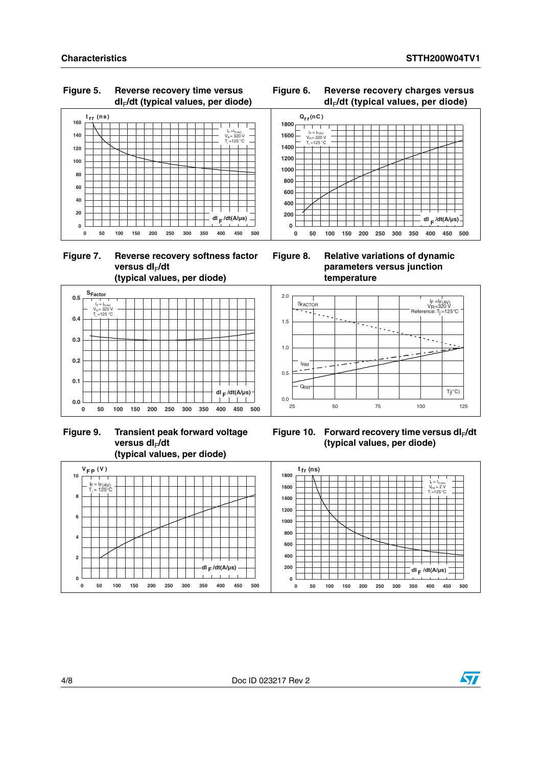### **Figure 5. Reverse recovery time versus dI**F**/dt (typical values, per diode)**













### **Figure 9. Transient peak forward voltage versus dI**F**/dt (typical values, per diode)**

Figure 10. Forward recovery time versus dl<sub>F</sub>/dt **(typical values, per diode)**



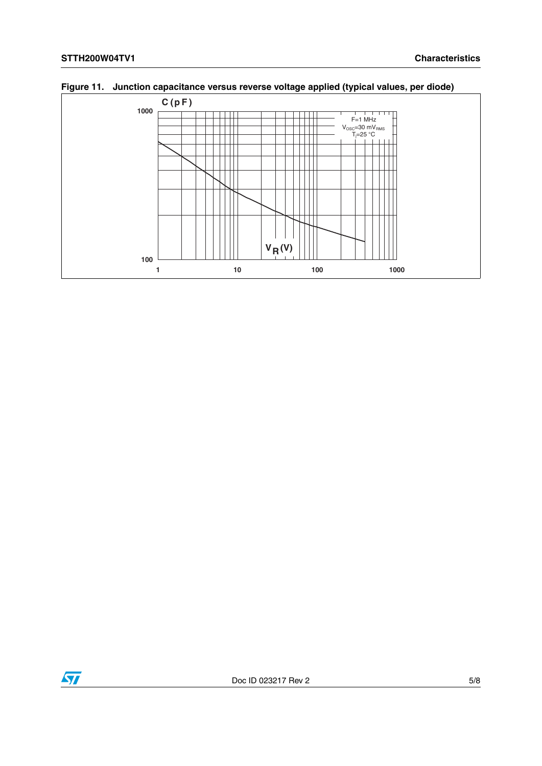

**Figure 11. Junction capacitance versus reverse voltage applied (typical values, per diode)**

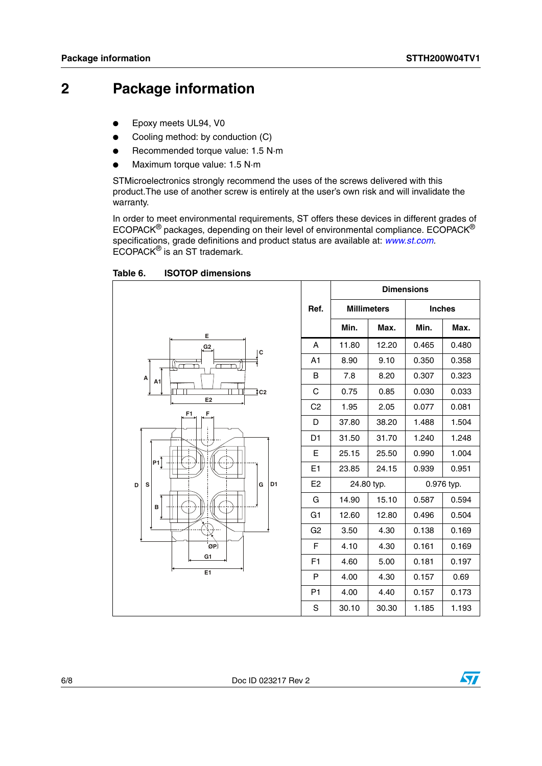## **2 Package information**

- Epoxy meets UL94, V0
- Cooling method: by conduction (C)
- Recommended torque value: 1.5 N·m
- Maximum torque value: 1.5 N·m

STMicroelectronics strongly recommend the uses of the screws delivered with this product.The use of another screw is entirely at the user's own risk and will invalidate the warranty.

In order to meet environmental requirements, ST offers these devices in different grades of ECOPACK® packages, depending on their level of environmental compliance. ECOPACK® specifications, grade definitions and product status are available at: *[www.st.com](http://www.st.com).* ECOPACK® is an ST trademark.

**Ref. Dimensions Millimeters Inches**  $Min.$  **Max. Min. Max.** A 11.80 12.20 0.465 0.480 A1 | 8.90 | 9.10 | 0.350 | 0.358 B 7.8 8.20 0.307 0.323  $C$  0.75 0.85 0.030 0.033  $C2$  1.95 2.05 0.077 0.081  $D$  37.80 38.20 1.488 1.504 D1 31.50 31.70 1.240 1.248 E  $\vert$  25.15  $\vert$  25.50  $\vert$  0.990  $\vert$  1.004 E1 23.85 24.15 0.939 0.951 E2 24.80 typ. 0.976 typ. G | 14.90 | 15.10 | 0.587 | 0.594 G1 | 12.60 | 12.80 | 0.496 | 0.504 G2 3.50 4.30 0.138 0.169  $F$  4.10 4.30 0.161 0.169 F1 4.60 5.00 0.181 0.197 P | 4.00 | 4.30 | 0.157 | 0.69 P1 4.00 4.40 0.157 0.173 S 30.10 30.30 1.185 1.193 **F1 F D S G D1 B E1 G1 ØP P1 E E2 G2 C C2 A1 <sup>A</sup>**

Table 6. **ISOTOP dimensions** 

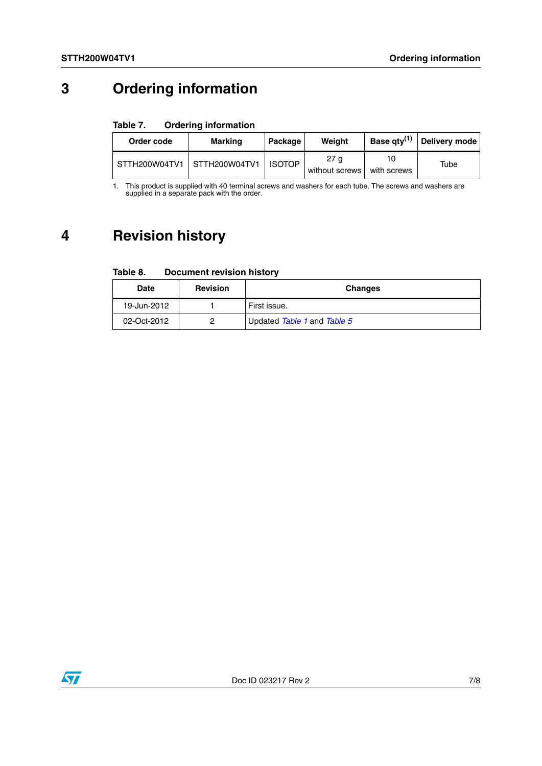# **3 Ordering information**

#### Table 7. **Ordering information**

| Order code | Marking                     | Package       | Weiaht                              | Base qty <sup>(1)</sup> | Delivery mode |
|------------|-----------------------------|---------------|-------------------------------------|-------------------------|---------------|
|            | STTH200W04TV1 STTH200W04TV1 | <b>ISOTOP</b> | 27 <sub>q</sub><br>without screws I | with screws             | Tube          |

1. This product is supplied with 40 terminal screws and washers for each tube. The screws and washers are supplied in a separate pack with the order.

# **4 Revision history**

| Table 8. | <b>Document revision history</b> |  |
|----------|----------------------------------|--|
|          |                                  |  |

| <b>Date</b> | <b>Revision</b> | <b>Changes</b>              |
|-------------|-----------------|-----------------------------|
| 19-Jun-2012 |                 | First issue.                |
| 02-Oct-2012 |                 | Updated Table 1 and Table 5 |